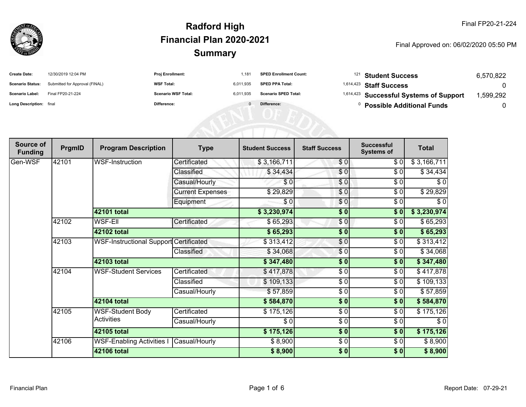

| <b>Create Date:</b>     | 12/30/2019 12:04 PM            | <b>Proj Enrollment:</b>    | .181      | <b>SPED Enrollment Count:</b> | <sup>121</sup> Student Success                     | 6.570.822 |
|-------------------------|--------------------------------|----------------------------|-----------|-------------------------------|----------------------------------------------------|-----------|
| <b>Scenario Status:</b> | Submitted for Approval (FINAL) | <b>WSF Total:</b>          | 6.011.935 | <b>SPED PPA Total:</b>        | <sup>1,614,423</sup> Staff Success                 |           |
| <b>Scenario Label:</b>  | Final FP20-21-224              | <b>Scenario WSF Total:</b> | 6.011.935 | <b>Scenario SPED Total:</b>   | <sup>1,614,423</sup> Successful Systems of Support | .599.292  |
| Long Description: final |                                | Difference:                |           | Difference:                   | <b>Possible Additional Funds</b>                   |           |

| Source of<br><b>Funding</b> | PrgmID | <b>Program Description</b>             | <b>Type</b>             | <b>Student Success</b> | <b>Staff Success</b> | <b>Successful</b><br><b>Systems of</b> | <b>Total</b> |
|-----------------------------|--------|----------------------------------------|-------------------------|------------------------|----------------------|----------------------------------------|--------------|
| Gen-WSF                     | 42101  | <b>WSF-Instruction</b>                 | Certificated            | \$3,166,711            | \$0                  | \$ 0                                   | \$3,166,711  |
|                             |        |                                        | Classified              | \$34,434               | $\sqrt{6}$           | \$0                                    | \$34,434     |
|                             |        |                                        | Casual/Hourly           | \$0                    | \$0                  | \$0                                    | \$0          |
|                             |        |                                        | <b>Current Expenses</b> | \$29,829               | \$0                  | \$0                                    | \$29,829     |
|                             |        |                                        | Equipment               | \$0                    | \$0                  | \$0                                    | \$0          |
|                             |        | 42101 total                            |                         | \$3,230,974            | \$0                  | \$0                                    | \$3,230,974  |
|                             | 42102  | <b>WSF-Ell</b>                         | Certificated            | \$65,293               | $\frac{6}{6}$        | \$0                                    | \$65,293     |
|                             |        | 42102 total                            |                         | \$65,293               | \$0                  | \$0                                    | \$65,293     |
|                             | 42103  | WSF-Instructional Support Certificated |                         | \$313,412              | \$0                  | \$0                                    | \$313,412    |
|                             |        |                                        | Classified              | \$34,068               | $\frac{6}{3}$        | \$0                                    | \$34,068     |
|                             |        | 42103 total                            |                         | \$347,480              | \$0                  | \$0                                    | \$347,480    |
|                             | 42104  | <b>WSF-Student Services</b>            | Certificated            | \$417,878              | \$0                  | \$0                                    | \$417,878    |
|                             |        |                                        | Classified              | \$109,133              | \$0                  | \$0                                    | \$109,133    |
|                             |        |                                        | Casual/Hourly           | \$57,859               | \$0                  | \$0                                    | \$57,859     |
|                             |        | 42104 total                            |                         | \$584,870              | $\frac{1}{2}$        | $\sqrt{6}$                             | \$584,870    |
|                             | 42105  | <b>WSF-Student Body</b>                | Certificated            | \$175,126              | $\frac{3}{6}$        | \$0                                    | \$175,126    |
|                             |        | <b>Activities</b>                      | Casual/Hourly           | \$0                    | \$0                  | \$0                                    | \$0          |
|                             |        | 42105 total                            |                         | \$175,126              | $\frac{1}{2}$        | \$0                                    | \$175,126    |
|                             | 42106  | <b>WSF-Enabling Activities I</b>       | Casual/Hourly           | \$8,900                | \$0                  | \$0                                    | \$8,900      |
|                             |        | <b>42106 total</b>                     |                         | \$8,900                | \$0                  | \$0                                    | \$8,900      |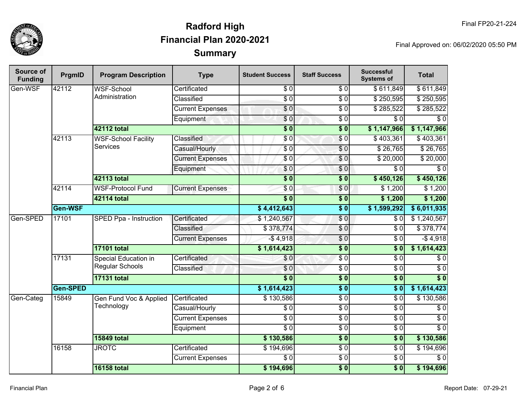

| <b>Source of</b><br><b>Funding</b> | PrgmID   | <b>Program Description</b>          | <b>Type</b>             | <b>Student Success</b>  | <b>Staff Success</b> | <b>Successful</b><br><b>Systems of</b> | <b>Total</b>     |                 |
|------------------------------------|----------|-------------------------------------|-------------------------|-------------------------|----------------------|----------------------------------------|------------------|-----------------|
| Gen-WSF                            | 42112    | <b>WSF-School</b><br>Administration | Certificated            | \$0                     | \$0                  | \$611,849                              | \$611,849        |                 |
|                                    |          |                                     | Classified              | $\overline{S}0$         | $\overline{\$0}$     | \$250,595                              | \$250,595        |                 |
|                                    |          |                                     | <b>Current Expenses</b> | $\overline{\$0}$        | $\overline{30}$      | $\sqrt{$285,522}$                      | \$285,522        |                 |
|                                    |          |                                     | Equipment               | \$0                     | $\overline{30}$      | $\overline{\$0}$                       | $\overline{\$0}$ |                 |
|                                    |          | <b>42112 total</b>                  |                         | $\overline{\$0}$        | $\overline{\$0}$     | \$1,147,966                            | \$1,147,966      |                 |
|                                    | 42113    | <b>WSF-School Facility</b>          | <b>Classified</b>       | \$0                     | $\sqrt{6}$           | \$403,361                              | \$403,361        |                 |
|                                    |          | <b>Services</b>                     | Casual/Hourly           | $\sqrt{6}$              | \$0                  | \$26,765                               | \$26,765         |                 |
|                                    |          |                                     | <b>Current Expenses</b> | \$0                     | $\overline{0}$       | \$20,000                               | \$20,000         |                 |
|                                    |          |                                     | Equipment               | \$0                     | \$0                  | $\overline{\$0}$                       | $\overline{S}0$  |                 |
|                                    |          | <b>42113 total</b>                  |                         | $\overline{\$0}$        | $\overline{\$0}$     | \$450,126                              | \$450,126        |                 |
|                                    | 42114    | <b>WSF-Protocol Fund</b>            | <b>Current Expenses</b> | $\overline{\$0}$        | \$0                  | \$1,200                                | \$1,200          |                 |
|                                    |          | <b>42114 total</b>                  |                         | $\overline{\$0}$        | $\overline{\$0}$     | \$1,200                                | \$1,200          |                 |
|                                    | Gen-WSF  |                                     |                         | \$4,412,643             | $\overline{\$0}$     | \$1,599,292                            | \$6,011,935      |                 |
| Gen-SPED                           | 17101    | SPED Ppa - Instruction              | Certificated            | \$1,240,567             | $\sqrt{6}$           | \$0                                    | \$1,240,567      |                 |
|                                    |          |                                     | Classified              | \$378,774               | \$0                  | $\overline{\$0}$                       | \$378,774        |                 |
|                                    |          |                                     | <b>Current Expenses</b> | $-$4,918$               | $\overline{60}$      | $\overline{30}$                        | $-$4,918$        |                 |
|                                    |          | <b>17101 total</b>                  |                         | \$1,614,423             | $\overline{\$0}$     | $\overline{\$0}$                       | \$1,614,423      |                 |
|                                    | 17131    | <b>Special Education in</b>         | Certificated            | \$0                     | $\overline{60}$      | $\overline{\$0}$                       | $\overline{\$0}$ |                 |
|                                    |          | Regular Schools                     | Classified              | $\sqrt{6}$              | $\overline{30}$      | $\sqrt{6}$                             | $\overline{S}0$  |                 |
|                                    |          | <b>17131 total</b>                  |                         | $\overline{\$0}$        | $\overline{\$0}$     | $\overline{\$0}$                       | $\overline{\$0}$ |                 |
|                                    | Gen-SPED |                                     |                         | \$1,614,423             | $\overline{\$0}$     | $\overline{\$0}$                       | \$1,614,423      |                 |
| Gen-Categ                          | 15849    | Gen Fund Voc & Applied              | Certificated            | \$130,586               | $\overline{60}$      | $\overline{\$0}$                       | \$130,586        |                 |
|                                    |          | Technology                          | Casual/Hourly           | $\overline{\$0}$        | $\overline{\$0}$     | $\overline{30}$                        | $\sqrt{6}$       |                 |
|                                    |          |                                     |                         | <b>Current Expenses</b> | $\overline{S}0$      | $\overline{S}0$                        | \$0              | $\overline{60}$ |
|                                    |          |                                     | Equipment               | $\overline{\$0}$        | $\sqrt{6}$           | $\sqrt{6}$                             | $\sqrt{6}$       |                 |
|                                    |          | <b>15849 total</b>                  |                         | \$130,586               | $\overline{\$0}$     | $\overline{\$0}$                       | \$130,586        |                 |
|                                    | 16158    | <b>JROTC</b>                        | Certificated            | \$194,696               | $\overline{S}0$      | $\overline{S}0$                        | \$194,696        |                 |
|                                    |          |                                     | <b>Current Expenses</b> | $\overline{\$0}$        | $\overline{60}$      | $\overline{30}$                        | $\overline{S}$   |                 |
|                                    |          | <b>16158 total</b>                  |                         | \$194,696               | $\overline{\$0}$     | $\overline{\$0}$                       | \$194,696        |                 |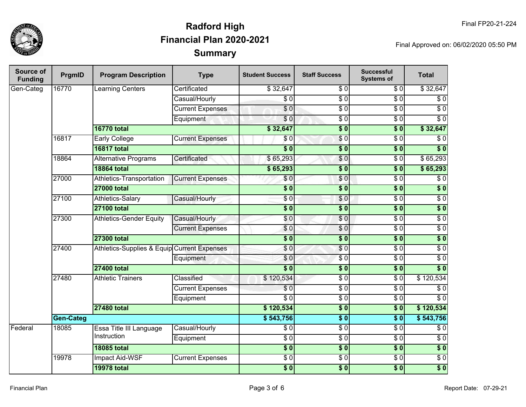

| Source of<br><b>Funding</b> | PrgmID    | <b>Program Description</b>                  | <b>Type</b>             | <b>Student Success</b>  | <b>Staff Success</b> | <b>Successful</b><br><b>Systems of</b> | <b>Total</b>      |                  |
|-----------------------------|-----------|---------------------------------------------|-------------------------|-------------------------|----------------------|----------------------------------------|-------------------|------------------|
| Gen-Categ                   | 16770     | Learning Centers                            | Certificated            | \$32,647                | \$0                  | \$0                                    | \$32,647          |                  |
|                             |           |                                             | Casual/Hourly           | $\overline{\$0}$        | $\overline{S}0$      | $\overline{\$0}$                       | $\overline{\$0}$  |                  |
|                             |           |                                             | <b>Current Expenses</b> | $\overline{\$0}$        | $\overline{\$0}$     | $\overline{\$0}$                       | $\overline{\$0}$  |                  |
|                             |           |                                             | Equipment               | $\overline{\$0}$        | $\overline{\$0}$     | $\overline{\$0}$                       | $\overline{S}0$   |                  |
|                             |           | <b>16770 total</b>                          |                         | \$32,647                | $\overline{\$0}$     | $\overline{\$0}$                       | \$32,647          |                  |
|                             | 16817     | <b>Early College</b>                        | <b>Current Expenses</b> | \$0                     | $\sqrt{6}$           | $\overline{\$0}$                       | $\sqrt{6}$        |                  |
|                             |           | <b>16817 total</b>                          |                         | $\overline{\$0}$        | $\overline{\$0}$     | $\overline{\$0}$                       | $\overline{\$}0$  |                  |
|                             | 18864     | <b>Alternative Programs</b>                 | Certificated            | \$65,293                | $\overline{\$0}$     | $\overline{\$0}$                       | \$65,293          |                  |
|                             |           | <b>18864 total</b>                          |                         | \$65,293                | $\overline{\$0}$     | $\overline{\$0}$                       | \$65,293          |                  |
|                             | 27000     | <b>Athletics-Transportation</b>             | <b>Current Expenses</b> | \$0                     | \$0                  | $\overline{\$0}$                       | $\overline{\$0}$  |                  |
|                             |           | <b>27000 total</b>                          |                         | $\overline{\$0}$        | $\overline{\$0}$     | $\overline{\$0}$                       | $\overline{\$}$ 0 |                  |
|                             | 27100     | <b>Athletics-Salary</b>                     | Casual/Hourly           | \$0                     | \$0                  | $\overline{60}$                        | $\overline{30}$   |                  |
|                             |           | <b>27100 total</b>                          |                         | $\overline{\$0}$        | $\overline{\$0}$     | $\overline{\$0}$                       | $\sqrt{ }$        |                  |
|                             | 27300     | <b>Athletics-Gender Equity</b>              | Casual/Hourly           | \$0                     | $\overline{\$0}$     | $\overline{S}0$                        | $\overline{30}$   |                  |
|                             |           |                                             | <b>Current Expenses</b> | \$0                     | \$0                  | $\overline{\$0}$                       | $\sqrt{6}$        |                  |
|                             |           | <b>27300 total</b>                          |                         | $\overline{\$0}$        | $\overline{\$0}$     | $\overline{\$0}$                       | $\overline{\$0}$  |                  |
|                             | 27400     | Athletics-Supplies & Equip Current Expenses |                         | \$0                     | \$0                  | $\overline{\$0}$                       | $\overline{\$0}$  |                  |
|                             |           |                                             | Equipment               | \$0                     | $\overline{\$0}$     | $\overline{S}0$                        | $\overline{30}$   |                  |
|                             |           | <b>27400 total</b>                          |                         | $\overline{\$0}$        | $\overline{\$0}$     | $\overline{\$0}$                       | $\overline{\$}0$  |                  |
|                             | 27480     | <b>Athletic Trainers</b>                    | Classified              | \$120,534               | $\sqrt{6}$           | $\overline{\$0}$                       | $\sqrt{$}120,534$ |                  |
|                             |           |                                             |                         | <b>Current Expenses</b> | $\overline{30}$      | $\sqrt{6}$                             | $\sqrt{6}$        | $\overline{\$0}$ |
|                             |           |                                             |                         | Equipment               | $\overline{\$0}$     | $\sqrt{6}$                             | $\sqrt{6}$        | $\overline{\$0}$ |
|                             |           | <b>27480 total</b>                          |                         | \$120,534               | $\overline{\$0}$     | $\overline{\$0}$                       | \$120,534         |                  |
|                             | Gen-Categ |                                             |                         | \$543,756               | $\overline{\$0}$     | $\overline{\$0}$                       | \$543,756         |                  |
| Federal                     | 18085     | Essa Title III Language                     | Casual/Hourly           | $\overline{\$0}$        | $\overline{\$0}$     | $\overline{\$0}$                       | $\overline{30}$   |                  |
|                             |           | Instruction                                 | Equipment               | $\overline{\$0}$        | $\overline{\$0}$     | $\overline{30}$                        | $\overline{\$0}$  |                  |
|                             |           | <b>18085 total</b>                          |                         | $\overline{\$0}$        | $\overline{\$0}$     | $\overline{\$0}$                       | $\overline{\$}0$  |                  |
|                             | 19978     | <b>Impact Aid-WSF</b>                       | <b>Current Expenses</b> | $\overline{\$0}$        | $\overline{\$0}$     | $\overline{0}$                         | $\overline{30}$   |                  |
|                             |           | <b>19978 total</b>                          |                         | $\overline{\$0}$        | $\overline{\$0}$     | $\overline{\$0}$                       | $\overline{\$0}$  |                  |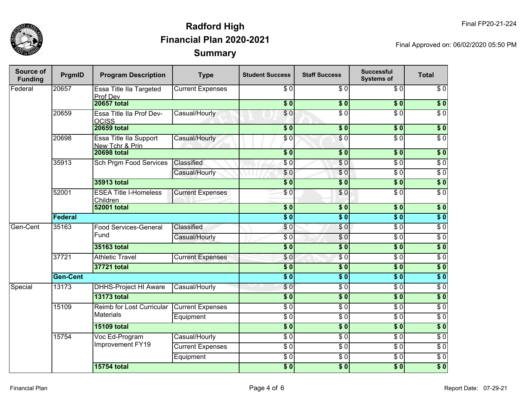

| Source of<br><b>Funding</b> | PrgmID         | <b>Program Description</b>                | <b>Type</b>             | <b>Student Success</b> | <b>Staff Success</b> | <b>Successful</b><br><b>Systems of</b> | <b>Total</b>     |
|-----------------------------|----------------|-------------------------------------------|-------------------------|------------------------|----------------------|----------------------------------------|------------------|
| Federal                     | 20657          | Essa Title IIa Targeted<br>Prof Dev       | <b>Current Expenses</b> | \$0                    | \$0                  | \$0                                    | \$0              |
|                             |                | <b>20657 total</b>                        |                         | \$0                    | $\sqrt{6}$           | $\vert \sqrt[6]{0} \vert$              | $\sqrt{ }$       |
|                             | 20659          | Essa Title IIa Prof Dev-<br><b>OCISS</b>  | Casual/Hourly           | \$0                    | $\overline{\$0}$     | $\overline{\$0}$                       | $\overline{\$0}$ |
|                             |                | <b>20659 total</b>                        |                         | $\sqrt{6}$             | $\sqrt{6}$           | \$0                                    | $\sqrt{6}$       |
|                             | 20698          | Essa Title IIa Support<br>New Tchr & Prin | Casual/Hourly           | \$0                    | \$0                  | $\overline{S}0$                        | $\overline{S}0$  |
|                             |                | <b>20698 total</b>                        |                         | $\overline{\$0}$       | $\overline{\$0}$     | $\overline{\$0}$                       | $\overline{\$0}$ |
|                             | 35913          | Sch Prgm Food Services                    | Classified              | \$0                    | \$0                  | $\overline{30}$                        | $\overline{50}$  |
|                             |                |                                           | Casual/Hourly           | \$0                    | \$0                  | $\overline{30}$                        | $\overline{50}$  |
|                             |                | 35913 total                               |                         | $\overline{\$0}$       | $\overline{\$0}$     | $\overline{\$0}$                       | $\overline{\$0}$ |
|                             | 52001          | <b>ESEA Title I-Homeless</b><br>Children  | <b>Current Expenses</b> | \$0                    | \$0                  | $\overline{S}0$                        | $\overline{50}$  |
|                             |                | <b>52001 total</b>                        |                         | s <sub>0</sub>         | $\overline{\$0}$     | $\overline{\$0}$                       | $\overline{\$0}$ |
|                             | <b>Federal</b> |                                           |                         | $\overline{\$0}$       | $\overline{\$0}$     | $\overline{\$0}$                       | $\sqrt{ }$       |
| Gen-Cent                    | 35163          | <b>Food Services-General</b>              | Classified              | \$0                    | $\sqrt{0}$           | $\overline{30}$                        | $\overline{\$0}$ |
|                             |                | Fund                                      | Casual/Hourly           | $\overline{\$0}$       | $\overline{\$0}$     | $\overline{\$0}$                       | $\overline{$}0$  |
|                             |                | 35163 total                               |                         | $\overline{\$0}$       | $\overline{\$0}$     | $\overline{\$0}$                       | $\overline{\$0}$ |
|                             | 37721          | <b>Athletic Travel</b>                    | <b>Current Expenses</b> | \$0                    | $\overline{\$0}$     | $\overline{\$0}$                       | $\overline{$}0$  |
|                             |                | 37721 total                               |                         | $\overline{\$0}$       | $\overline{\$0}$     | $\overline{\$0}$                       | $\overline{\$0}$ |
|                             | Gen-Cent       |                                           |                         | $\overline{\$0}$       | $\overline{\$0}$     | $\overline{\$0}$                       | $\overline{\$0}$ |
| Special                     | 13173          | <b>DHHS-Project HI Aware</b>              | Casual/Hourly           | \$0                    | $\overline{\$0}$     | $\overline{\$0}$                       | $\overline{$}0$  |
|                             |                | <b>13173 total</b>                        |                         | $\overline{\$0}$       | $\sqrt{6}$           | $\overline{\$0}$                       | $\overline{\$0}$ |
|                             | 15109          | Reimb for Lost Curricular                 | <b>Current Expenses</b> | $\overline{\$0}$       | $\overline{\$0}$     | $\overline{\$0}$                       | $\overline{\$0}$ |
|                             |                | <b>Materials</b>                          | Equipment               | $\overline{\$0}$       | $\overline{\$0}$     | $\overline{\$0}$                       | $\overline{\$0}$ |
|                             |                | <b>15109 total</b>                        |                         | $\overline{\$0}$       | $\overline{\$0}$     | $\overline{\$0}$                       | $\sqrt{6}$       |
|                             | 15754          | Voc Ed-Program                            | Casual/Hourly           | $\overline{\$0}$       | $\overline{\$0}$     | $\overline{\$0}$                       | $\overline{\$0}$ |
|                             |                | Improvement FY19                          | <b>Current Expenses</b> | $\overline{\$0}$       | $\overline{\$0}$     | $\overline{\$0}$                       | $\overline{\$0}$ |
|                             |                |                                           | Equipment               | $\overline{\$0}$       | $\overline{$}0$      | $\overline{\$0}$                       | $\overline{\$0}$ |
|                             |                | <b>15754 total</b>                        |                         | \$0                    | $\overline{\$0}$     | \$0                                    | $\overline{\$0}$ |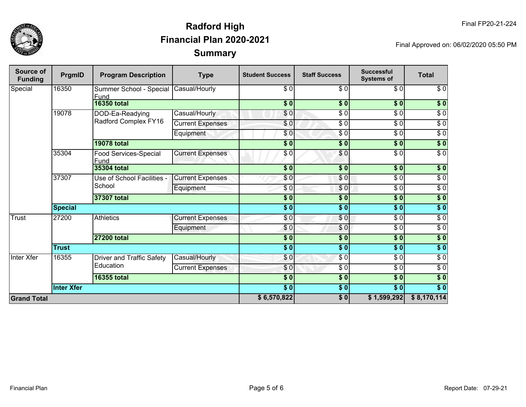

| Source of<br><b>Funding</b> | PrgmID            | <b>Program Description</b>                    | <b>Type</b>             | <b>Student Success</b>   | <b>Staff Success</b> | <b>Successful</b><br><b>Systems of</b> | <b>Total</b>     |
|-----------------------------|-------------------|-----------------------------------------------|-------------------------|--------------------------|----------------------|----------------------------------------|------------------|
| Special                     | 16350             | Summer School - Special Casual/Hourly<br>Fund |                         | \$0                      | \$0                  | \$0                                    | \$0              |
|                             |                   | <b>16350 total</b>                            |                         | \$0]                     | s <sub>0</sub>       | $\overline{\$0}$                       | \$0              |
|                             | 19078             | DOD-Ea-Readying                               | Casual/Hourly           | \$0                      | $\sqrt{6}$           | $\overline{\$0}$                       | $\sqrt{6}$       |
|                             |                   | Radford Complex FY16                          | <b>Current Expenses</b> | \$0                      | $\sqrt{6}$           | $\overline{\$0}$                       | $\sqrt{6}$       |
|                             |                   |                                               | Equipment               | \$0                      | $\overline{\$0}$     | $\overline{\$0}$                       | $\overline{\$0}$ |
|                             |                   | <b>19078 total</b>                            |                         | $\overline{\textbf{50}}$ | \$0                  | $\overline{\$0}$                       | \$0              |
|                             | 35304             | Food Services-Special<br>Fund                 | <b>Current Expenses</b> | \$0                      | \$0                  | $\overline{\$0}$                       | $\overline{\$0}$ |
|                             |                   | 35304 total                                   |                         | \$0                      | $\frac{1}{2}$        | $\frac{1}{2}$                          | \$0              |
|                             | 37307             | Use of School Facilities -<br>School          | <b>Current Expenses</b> | \$0                      | \$0                  | $\sqrt{6}$                             | $\sqrt{6}$       |
|                             |                   |                                               | Equipment               | \$0                      | $\frac{6}{3}$        | $\sqrt{6}$                             | $\sqrt{6}$       |
|                             |                   | 37307 total                                   |                         | $\overline{\$0}$         | $\sqrt{6}$           | $\overline{\$0}$                       | \$0              |
|                             | <b>Special</b>    |                                               |                         | $\overline{\bullet}$     | \$0                  | $\overline{\$0}$                       | $\overline{\$}0$ |
| <b>Trust</b>                | 27200             | <b>Athletics</b>                              | <b>Current Expenses</b> | \$0                      | \$0                  | $\frac{6}{6}$                          | $\sqrt{6}$       |
|                             |                   |                                               | Equipment               | \$0                      | \$0                  | $\frac{1}{\sqrt{2}}$                   | $\sqrt{6}$       |
|                             |                   | <b>27200 total</b>                            |                         | \$0                      | $\frac{1}{2}$        | \$0                                    | \$0              |
|                             | <b>Trust</b>      |                                               |                         | $\overline{\bullet}$     | $\overline{\$0}$     | $\sqrt{6}$                             | \$0              |
| <b>Inter Xfer</b>           | 16355             | Driver and Traffic Safety                     | Casual/Hourly           | \$0                      | $\frac{3}{6}$        | $\sqrt{6}$                             | $\sqrt{6}$       |
|                             |                   | Education                                     | <b>Current Expenses</b> | \$0                      | $\frac{3}{2}$        | $\sqrt{6}$                             | $\sqrt{6}$       |
|                             | 16355 total       |                                               |                         | $\frac{1}{2}$            | $\sqrt{6}$           | $\sqrt{6}$                             | $\sqrt{6}$       |
|                             | <b>Inter Xfer</b> |                                               |                         | \$0                      | \$0                  | $\overline{\$0}$                       | $\overline{\$}0$ |
| <b>Grand Total</b>          |                   |                                               |                         | \$6,570,822              | \$0                  | \$1,599,292                            | \$8,170,114      |